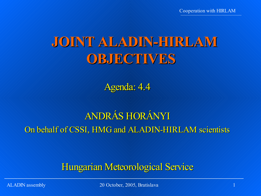Cooperation with HIRLAM

# **JOINT ALADIN-HIRLAM OBJECTIVES**

Agenda: 4.4

# ANDRÁS HORÁNYI On behalf of CSSI, HMG and ALADIN-HIRLAM scientists

### Hungarian Meteorological Service

ALADIN assembly 1.1 (1) 20 October, 2005, Bratislava 1.1 (1) 1.1 (1) 1.1 (1) 1.1 (1) 1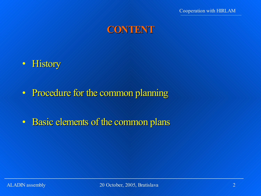

- History
- Procedure for the common planning
- Basic elements of the common plans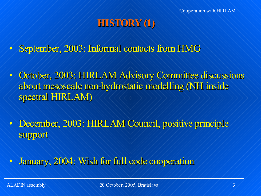### **HISTORY (1)**

- September, 2003: Informal contacts from HMG
- October, 2003: HIRLAM Advisory Committee discussions about mesoscale non-hydrostatic modelling (NH inside spectral HIRLAM)
- December, 2003: HIRLAM Council, positive principle support
- January, 2004: Wish for full code cooperation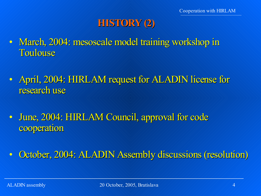### **HISTORY (2)**

- March, 2004: mesoscale model training workshop in Toulouse
- April, 2004: HIRLAM request for ALADIN license for research use
- June, 2004: HIRLAM Council, approval for code cooperation

• October, 2004: ALADIN Assembly discussions (resolution)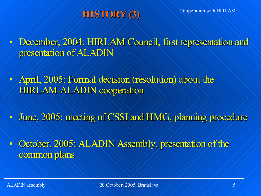# **HISTORY (3)**

- December, 2004: HIRLAM Council, first representation and presentation of ALADIN
- April, 2005: Formal decision (resolution) about the HIRLAM-ALADIN cooperation
- June, 2005: meeting of CSSI and HMG, planning procedure
- October, 2005: ALADIN Assembly, presentation of the common plans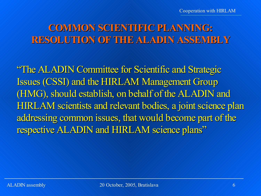# **COMMON SCIENTIFIC PLANNING: RESOLUTION OF THE ALADIN ASSEMBLY**

"The ALADIN Committee for Scientific and Strategic Issues (CSSI) and the HIRLAM Management Group (HMG), should establish, on behalf of the ALADIN and HIRLAM scientists and relevant bodies, a joint science plan addressing common issues, that would become part of the respective ALADIN and HIRLAM science plans"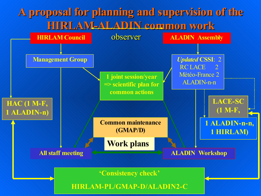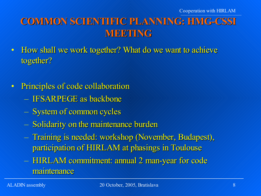# **COMMON SCIENTIFIC PLANNING: HMG-CSSI MEETING**

- How shall we work together? What do we want to achieve together?
- Principles of code collaboration
	- IFSARPEGE as backbone
	- System of common cycles
	- Solidarity on the maintenance burden
	- Training is needed: workshop (November, Budapest), participation of HIRLAM at phasings in Toulouse
	- HIRLAM commitment: annual 2 man-year for code maintenance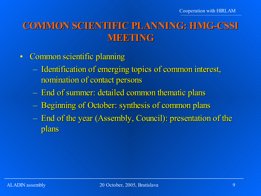### **COMMON SCIENTIFIC PLANNING: HMG-CSSI MEETING**

- Common scientific planning
	- Identification of emerging topics of common interest, nomination of contact persons
	- End of summer: detailed common thematic plans
	- Beginning of October: synthesis of common plans
	- End of the year (Assembly, Council): presentation of the plans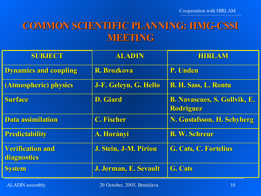### **COMMON SCIENTIFIC PLANNING: HMG-CSSI MEETING**

| <b>SUBJECT</b>                         | ALADIN                | <b>HIRLAM</b>                                    |
|----------------------------------------|-----------------------|--------------------------------------------------|
| <b>Dynamics and coupling</b>           | <b>R. Brozkova</b>    | P. Unden                                         |
| (Atmospheric) physics                  | J-F. Geleyn, G. Hello | <b>B. H. Sass, L. Rontu</b>                      |
| <b>Surface</b>                         | <b>D. Giard</b>       | <b>B. Navascues, S. Gollvik, E.</b><br>Rodriguez |
| Data assimilation                      | C. Fischer            | N. Gustafsson, H. Schyberg                       |
| <b>Predictability</b>                  | A. Horányi            | <b>B. W. Schreur</b>                             |
| <b>Verification and</b><br>diagnostics | J. Stein, J-M. Piriou | G. Cats, C. Fortelius                            |
| <b>System</b>                          | J. Jerman, E. Sevault | G. Cats                                          |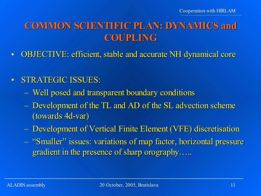# **COMMON SCIENTIFIC PLAN: DYNAMICS and COUPLING**

• OBJECTIVE: efficient, stable and accurate NH dynamical core

#### • STRATEGIC ISSUES:

- Well posed and transparent boundary conditions
- Development of the TL and AD of the SL advection scheme (towards 4d-var)
- Development of Vertical Finite Element (VFE) discretisation
- "Smaller" issues: variations of map factor, horizontal pressure gradient in the presence of sharp orography.....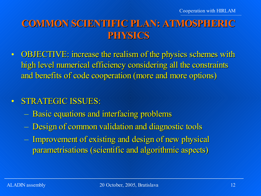### **COMMON SCIENTIFIC PLAN: ATMOSPHERIC PHYSICS**

• OBJECTIVE: increase the realism of the physics schemes with high level numerical efficiency considering all the constraints and benefits of code cooperation (more and more options)

#### • STRATEGIC ISSUES:

- Basic equations and interfacing problems
- Design of common validation and diagnostic tools
- Improvement of existing and design of new physical parametrisations (scientific and algorithmic aspects)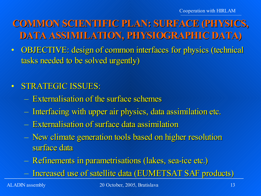# **COMMON SCIENTIFIC PLAN: SURFACE (PHYSICS, DATA ASSIMILATION, PHYSIOGRAPHIC DATA)**

• OBJECTIVE: design of common interfaces for physics (technical tasks needed to be solved urgently)

### • STRATEGIC ISSUES:

- Externalisation of the surface schemes
- Interfacing with upper air physics, data assimilation etc.
- Externalisation of surface data assimilation
- New climate generation tools based on higher resolution surface data
- Refinements in parametrisations (lakes, sea-ice etc.)
- Increased use of satellite data (EUMETSAT SAF products)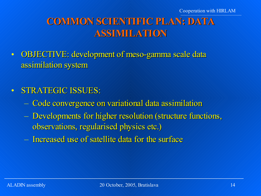# **COMMON SCIENTIFIC PLAN: DATA ASSIMILATION**

- OBJECTIVE: development of meso-gamma scale data assimilation system
- STRATEGIC ISSUES:
	- Code convergence on variational data assimilation
	- Developments for higher resolution (structure functions, observations, regularised physics etc.)
	- Increased use of satellite data for the surface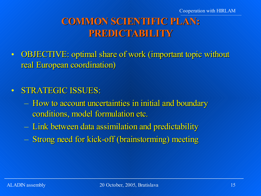# **COMMON SCIENTIFIC PLAN: PREDICTABILITY**

- OBJECTIVE: optimal share of work (important topic without real European coordination)
- STRATEGIC ISSUES:
	- How to account uncertainties in initial and boundary conditions, model formulation etc.
	- Link between data assimilation and predictability
	- Strong need for kick-off (brainstorming) meeting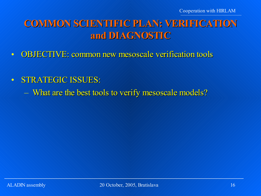### **COMMON SCIENTIFIC PLAN: VERIFICATION and DIAGNOSTIC**

- OBJECTIVE: common new mesoscale verification tools
- STRATEGIC ISSUES:
	- What are the best tools to verify mesoscale models?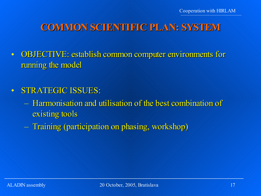# **COMMON SCIENTIFIC PLAN: SYSTEM**

- OBJECTIVE: establish common computer environments for running the model
- STRATEGIC ISSUES:
	- Harmonisation and utilisation of the best combination of existing tools
	- Training (participation on phasing, workshop)